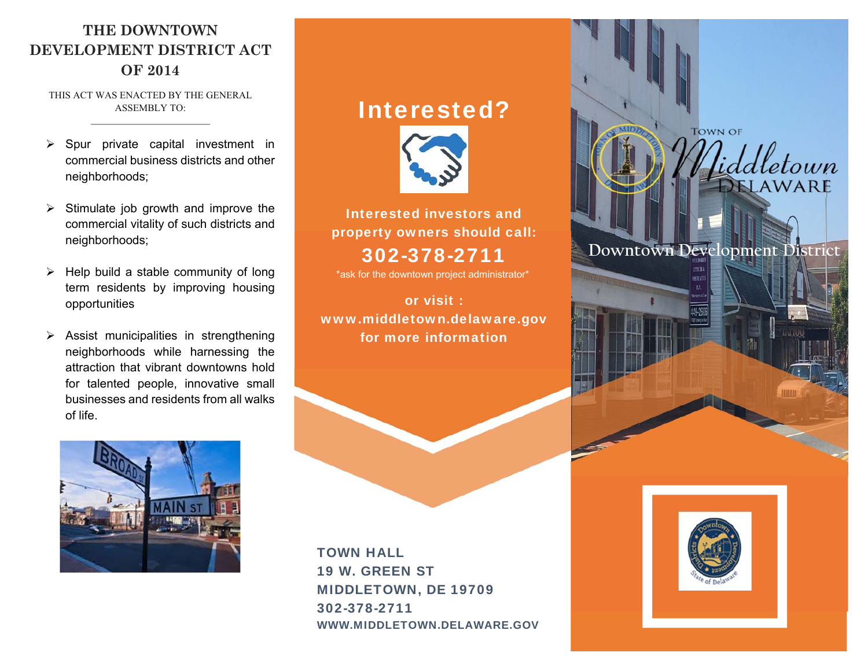### **THE DOWNTOWN DEVELOPMENT DISTRICT ACT OF 2014**

THIS ACT WAS ENACTED BY THE GENERAL ASSEMBLY TO:

- $\triangleright$  Spur private capital investment in commercial business districts and other neighborhoods;
- $\triangleright$  Stimulate job growth and improve the commercial vitality of such districts and neighborhoods;
- $\triangleright$  Help build a stable community of long term residents by improving housing opportunities
- $\triangleright$  Assist municipalities in strengthening neighborhoods while harnessing the attraction that vibrant downtowns hold for talented people, innovative small businesses and residents from all walks of life.



# Interested?



Interested investors and property owners should call:

## 302-378-2711

\*ask for the downtown project administrator\*

or visit : www.middletown.delaware.gov for more information



**TOWN OF** 

etown WARE

### **Downtown Development District**